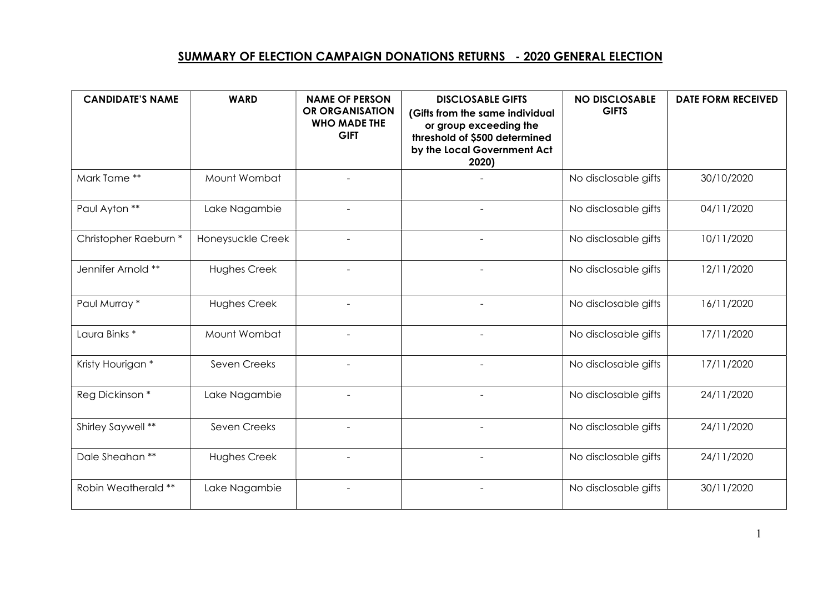## SUMMARY OF ELECTION CAMPAIGN DONATIONS RETURNS - 2020 GENERAL ELECTION

| <b>CANDIDATE'S NAME</b>  | <b>WARD</b>         | <b>NAME OF PERSON</b><br>OR ORGANISATION<br><b>WHO MADE THE</b><br><b>GIFT</b> | <b>DISCLOSABLE GIFTS</b><br>(Gifts from the same individual<br>or group exceeding the<br>threshold of \$500 determined<br>by the Local Government Act<br>2020) | <b>NO DISCLOSABLE</b><br><b>GIFTS</b> | <b>DATE FORM RECEIVED</b> |
|--------------------------|---------------------|--------------------------------------------------------------------------------|----------------------------------------------------------------------------------------------------------------------------------------------------------------|---------------------------------------|---------------------------|
| Mark Tame **             | Mount Wombat        |                                                                                |                                                                                                                                                                | No disclosable gifts                  | 30/10/2020                |
| Paul Ayton **            | Lake Nagambie       |                                                                                |                                                                                                                                                                | No disclosable gifts                  | 04/11/2020                |
| Christopher Raeburn *    | Honeysuckle Creek   |                                                                                | $\blacksquare$                                                                                                                                                 | No disclosable gifts                  | 10/11/2020                |
| Jennifer Arnold **       | Hughes Creek        | $\blacksquare$                                                                 | $\blacksquare$                                                                                                                                                 | No disclosable gifts                  | 12/11/2020                |
| Paul Murray *            | <b>Hughes Creek</b> |                                                                                |                                                                                                                                                                | No disclosable gifts                  | 16/11/2020                |
| Laura Binks <sup>*</sup> | Mount Wombat        |                                                                                |                                                                                                                                                                | No disclosable gifts                  | 17/11/2020                |
| Kristy Hourigan *        | Seven Creeks        |                                                                                |                                                                                                                                                                | No disclosable gifts                  | 17/11/2020                |
| Reg Dickinson *          | Lake Nagambie       |                                                                                | $\blacksquare$                                                                                                                                                 | No disclosable gifts                  | 24/11/2020                |
| Shirley Saywell **       | Seven Creeks        | $\overline{\phantom{a}}$                                                       | $\overline{\phantom{a}}$                                                                                                                                       | No disclosable gifts                  | 24/11/2020                |
| Dale Sheahan **          | Hughes Creek        | $\overline{a}$                                                                 |                                                                                                                                                                | No disclosable gifts                  | 24/11/2020                |
| Robin Weatherald **      | Lake Nagambie       |                                                                                |                                                                                                                                                                | No disclosable gifts                  | 30/11/2020                |